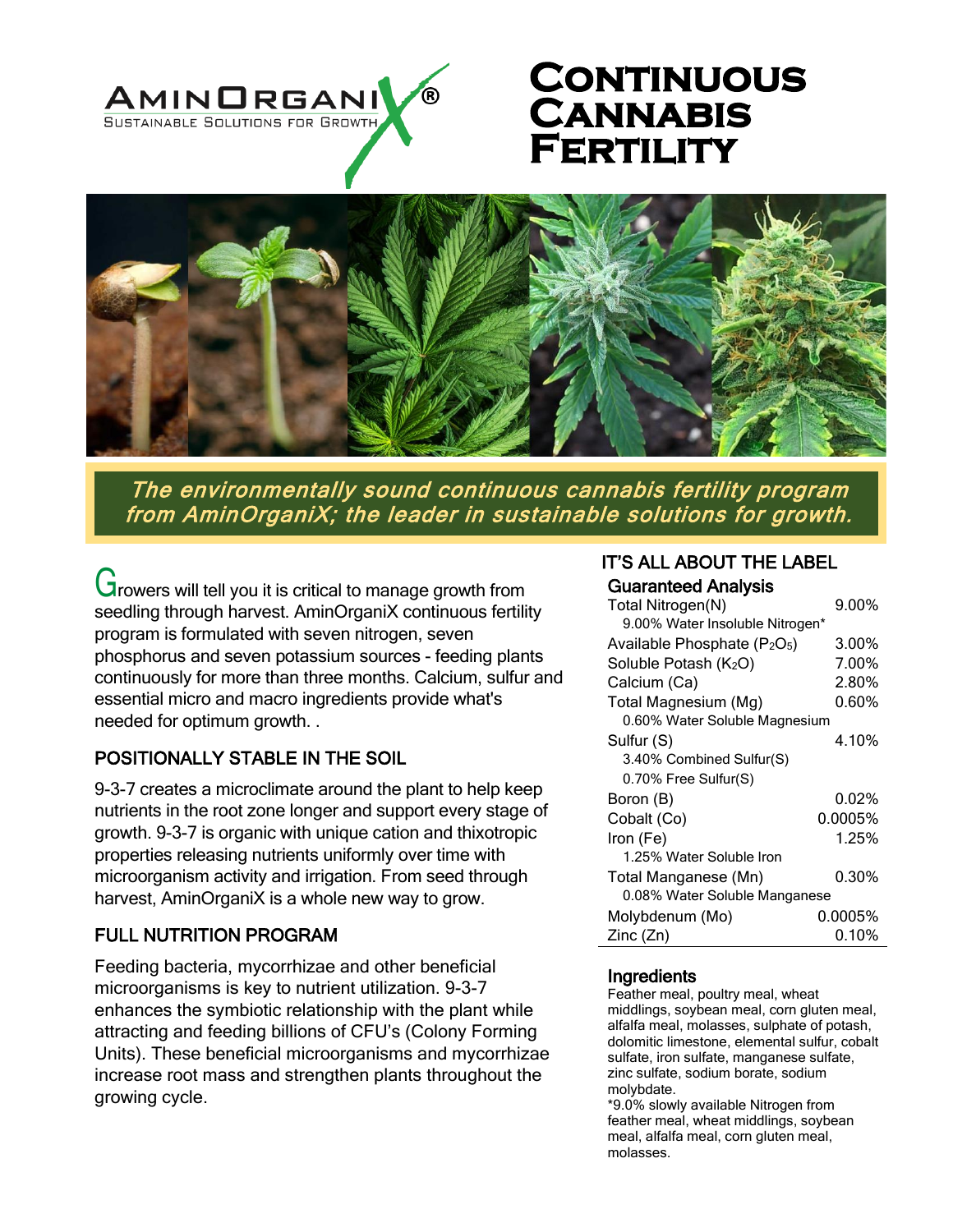

# **Continuous Cannabis FERTILITY**



The environmentally sound continuous cannabis fertility program from AminOrganiX; the leader in sustainable solutions for growth.

Growers will tell you it is critical to manage growth from seedling through harvest. AminOrganiX continuous fertility program is formulated with seven nitrogen, seven phosphorus and seven potassium sources - feeding plants continuously for more than three months. Calcium, sulfur and essential micro and macro ingredients provide what's needed for optimum growth. .

# POSITIONALLY STABLE IN THE SOIL

9-3-7 creates a microclimate around the plant to help keep nutrients in the root zone longer and support every stage of growth. 9-3-7 is organic with unique cation and thixotropic properties releasing nutrients uniformly over time with microorganism activity and irrigation. From seed through harvest, AminOrganiX is a whole new way to grow.

# FULL NUTRITION PROGRAM

Feeding bacteria, mycorrhizae and other beneficial microorganisms is key to nutrient utilization. 9-3-7 enhances the symbiotic relationship with the plant while attracting and feeding billions of CFU's (Colony Forming Units). These beneficial microorganisms and mycorrhizae increase root mass and strengthen plants throughout the growing cycle.

# IT'S ALL ABOUT THE LABEL

| <b>Guaranteed Analysis</b>                           |          |
|------------------------------------------------------|----------|
| Total Nitrogen(N)                                    | $9.00\%$ |
| 9.00% Water Insoluble Nitrogen*                      |          |
| Available Phosphate (P <sub>2</sub> O <sub>5</sub> ) | 3.00%    |
| Soluble Potash (K <sub>2</sub> O)                    | 7.00%    |
| Calcium (Ca)                                         | 2.80%    |
| Total Magnesium (Mg)                                 | $0.60\%$ |
| 0.60% Water Soluble Magnesium                        |          |
| Sulfur (S)                                           | 4.10%    |
| 3.40% Combined Sulfur(S)                             |          |
| 0.70% Free Sulfur(S)                                 |          |
| Boron (B)                                            | $0.02\%$ |
| Cobalt (Co)                                          | 0.0005%  |
| Iron (Fe)                                            | 1.25%    |
| 1.25% Water Soluble Iron                             |          |
| Total Manganese (Mn)                                 | 0.30%    |
| 0.08% Water Soluble Manganese                        |          |
| Molybdenum (Mo)                                      | 0.0005%  |
| Zinc (Zn)                                            | $0.10\%$ |

#### **Ingredients**

Feather meal, poultry meal, wheat middlings, soybean meal, corn gluten meal, alfalfa meal, molasses, sulphate of potash, dolomitic limestone, elemental sulfur, cobalt sulfate, iron sulfate, manganese sulfate, zinc sulfate, sodium borate, sodium molybdate.

\*9.0% slowly available Nitrogen from feather meal, wheat middlings, soybean meal, alfalfa meal, corn gluten meal, molasses.